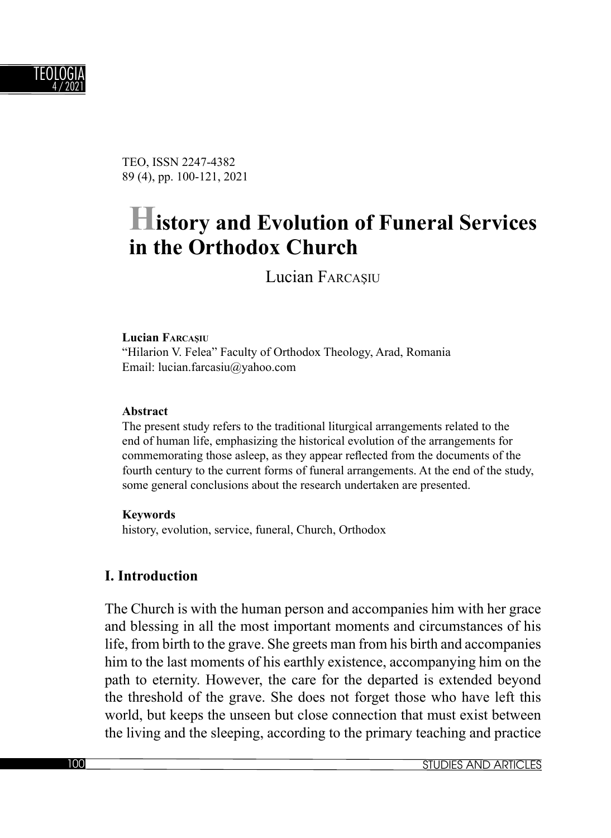

TEO, ISSN 2247-4382 89 (4), pp. 100-121, 2021

# **History and Evolution of Funeral Services in the Orthodox Church**

Lucian FARCAŞIU

#### **Lucian FARCAŞIU**

"Hilarion V. Felea" Faculty of Orthodox Theology, Arad, Romania Email: lucian.farcasiu@yahoo.com

#### **Abstract**

The present study refers to the traditional liturgical arrangements related to the end of human life, emphasizing the historical evolution of the arrangements for commemorating those asleep, as they appear reflected from the documents of the fourth century to the current forms of funeral arrangements. At the end of the study, some general conclusions about the research undertaken are presented.

#### **Keywords**

history, evolution, service, funeral, Church, Orthodox

#### **I. Introduction**

The Church is with the human person and accompanies him with her grace and blessing in all the most important moments and circumstances of his life, from birth to the grave. She greets man from his birth and accompanies him to the last moments of his earthly existence, accompanying him on the path to eternity. However, the care for the departed is extended beyond the threshold of the grave. She does not forget those who have left this world, but keeps the unseen but close connection that must exist between the living and the sleeping, according to the primary teaching and practice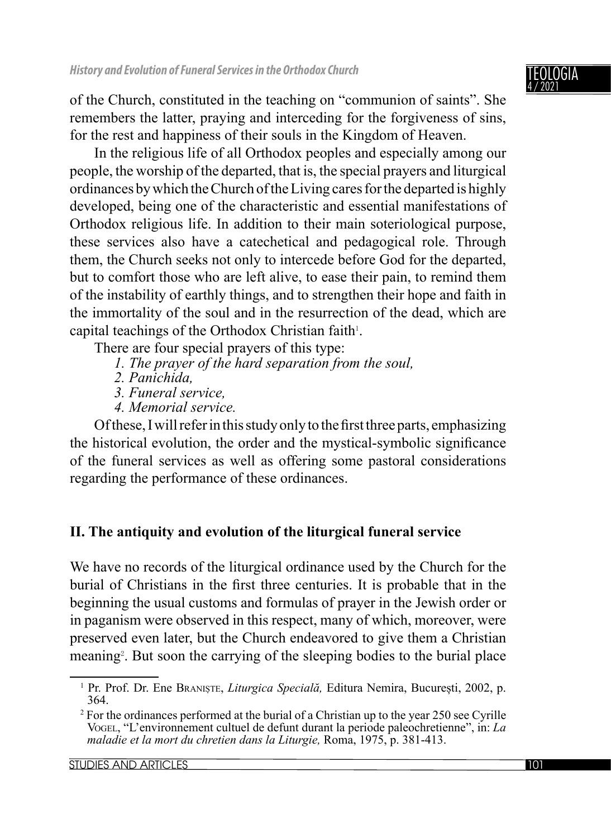of the Church, constituted in the teaching on "communion of saints". She remembers the latter, praying and interceding for the forgiveness of sins, for the rest and happiness of their souls in the Kingdom of Heaven.

In the religious life of all Orthodox peoples and especially among our people, the worship of the departed, that is, the special prayers and liturgical ordinances by which the Church of the Living cares for the departed is highly developed, being one of the characteristic and essential manifestations of Orthodox religious life. In addition to their main soteriological purpose, these services also have a catechetical and pedagogical role. Through them, the Church seeks not only to intercede before God for the departed, but to comfort those who are left alive, to ease their pain, to remind them of the instability of earthly things, and to strengthen their hope and faith in the immortality of the soul and in the resurrection of the dead, which are capital teachings of the Orthodox Christian faith<sup>1</sup>.

There are four special prayers of this type:

- *1. The prayer of the hard separation from the soul,*
- *2. Panichida,*
- *3. Funeral service,*
- *4. Memorial service.*

Of these, I will refer in this study only to the first three parts, emphasizing the historical evolution, the order and the mystical-symbolic significance of the funeral services as well as offering some pastoral considerations regarding the performance of these ordinances.

# **II. The antiquity and evolution of the liturgical funeral service**

We have no records of the liturgical ordinance used by the Church for the burial of Christians in the first three centuries. It is probable that in the beginning the usual customs and formulas of prayer in the Jewish order or in paganism were observed in this respect, many of which, moreover, were preserved even later, but the Church endeavored to give them a Christian meaning<sup>2</sup>. But soon the carrying of the sleeping bodies to the burial place

<sup>1</sup> Pr. Prof. Dr. Ene BRANIȘTE, *Liturgica Specială,* Editura Nemira, București, 2002, p. 364.

<sup>2</sup> For the ordinances performed at the burial of a Christian up to the year 250 see Cyrille VOGEL, "L'environnement cultuel de defunt durant la periode paleochretienne", in: *La maladie et la mort du chretien dans la Liturgie,* Roma, 1975, p. 381-413.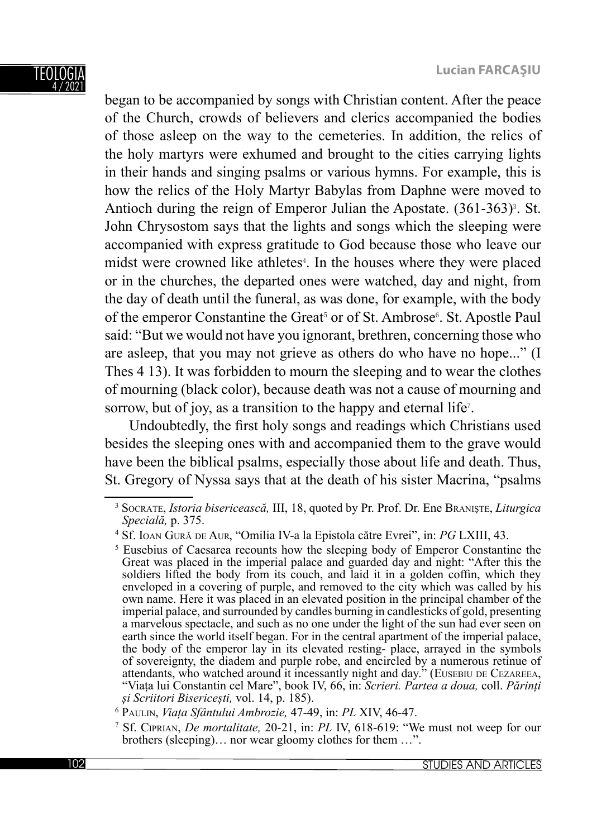TEOLOGIA 4 / 2021

began to be accompanied by songs with Christian content. After the peace of the Church, crowds of believers and clerics accompanied the bodies of those asleep on the way to the cemeteries. In addition, the relics of the holy martyrs were exhumed and brought to the cities carrying lights in their hands and singing psalms or various hymns. For example, this is how the relics of the Holy Martyr Babylas from Daphne were moved to Antioch during the reign of Emperor Julian the Apostate.  $(361-363)$ <sup>3</sup>. St. John Chrysostom says that the lights and songs which the sleeping were accompanied with express gratitude to God because those who leave our midst were crowned like athletes<sup>4</sup>. In the houses where they were placed or in the churches, the departed ones were watched, day and night, from the day of death until the funeral, as was done, for example, with the body of the emperor Constantine the Great<sup>5</sup> or of St. Ambrose<sup>6</sup>. St. Apostle Paul said: "But we would not have you ignorant, brethren, concerning those who are asleep, that you may not grieve as others do who have no hope..." (I Thes 4 13). It was forbidden to mourn the sleeping and to wear the clothes of mourning (black color), because death was not a cause of mourning and sorrow, but of joy, as a transition to the happy and eternal life<sup> $7$ </sup>.

Undoubtedly, the first holy songs and readings which Christians used besides the sleeping ones with and accompanied them to the grave would have been the biblical psalms, especially those about life and death. Thus, St. Gregory of Nyssa says that at the death of his sister Macrina, "psalms

<sup>3</sup> SOCRATE, *Istoria bisericească,* III, 18, quoted by Pr. Prof. Dr. Ene BRANIȘTE, *Liturgica Specială,* p. 375.

<sup>4</sup> Sf. IOAN GUR<sup>Ă</sup> DE AUR, "Omilia IV-a la Epistola către Evrei", in: *PG* LXIII, 43.

<sup>&</sup>lt;sup>5</sup> Eusebius of Caesarea recounts how the sleeping body of Emperor Constantine the Great was placed in the imperial palace and guarded day and night: "After this the soldiers lifted the body from its couch, and laid it in a golden coffin, which they enveloped in a covering of purple, and removed to the city which was called by his own name. Here it was placed in an elevated position in the principal chamber of the imperial palace, and surrounded by candles burning in candlesticks of gold, presenting a marvelous spectacle, and such as no one under the light of the sun had ever seen on earth since the world itself began. For in the central apartment of the imperial palace, the body of the emperor lay in its elevated resting- place, arrayed in the symbols of sovereignty, the diadem and purple robe, and encircled by a numerous retinue of "Viața lui Constantin cel Mare", book IV, 66, in: *Scrieri. Partea a doua, coll. Părinți <sup>ș</sup>i Scriitori Bisericești,* vol. 14, p. 185). 6

PAULIN, *Viața Sfântului Ambrozie,* 47-49, in: *PL* XIV, 46-47.

<sup>7</sup> Sf. CIPRIAN, *De mortalitate,* 20-21, in: *PL* IV, 618-619: "We must not weep for our brothers (sleeping)… nor wear gloomy clothes for them …".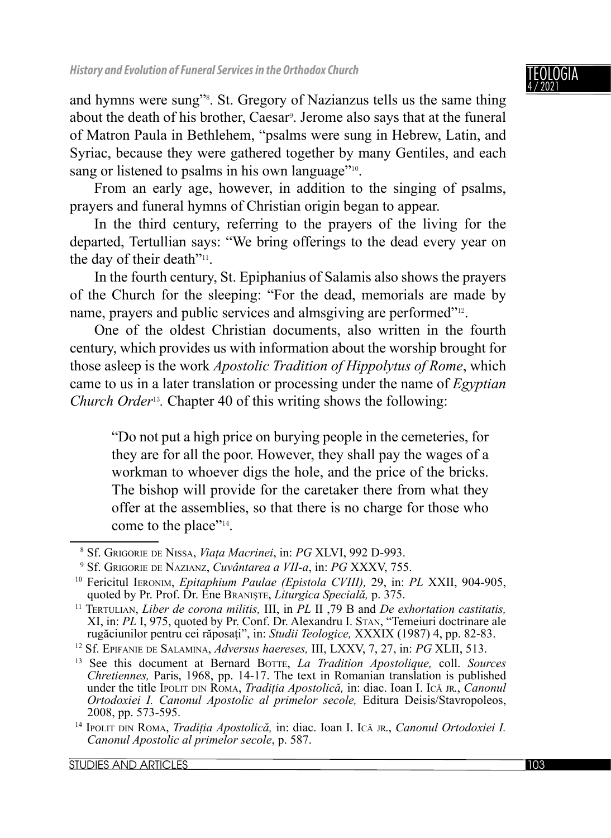and hymns were sung"<sup>8</sup>. St. Gregory of Nazianzus tells us the same thing about the death of his brother, Caesar<sup>9</sup>. Jerome also says that at the funeral of Matron Paula in Bethlehem, "psalms were sung in Hebrew, Latin, and Syriac, because they were gathered together by many Gentiles, and each sang or listened to psalms in his own language"<sup>10</sup>.

From an early age, however, in addition to the singing of psalms, prayers and funeral hymns of Christian origin began to appear.

In the third century, referring to the prayers of the living for the departed, Tertullian says: "We bring offerings to the dead every year on the day of their death"<sup>11</sup>.

In the fourth century, St. Epiphanius of Salamis also shows the prayers of the Church for the sleeping: "For the dead, memorials are made by name, prayers and public services and almsgiving are performed"12.

One of the oldest Christian documents, also written in the fourth century, which provides us with information about the worship brought for those asleep is the work *Apostolic Tradition of Hippolytus of Rome*, which came to us in a later translation or processing under the name of *Egyptian Church Order*13*.* Chapter 40 of this writing shows the following:

"Do not put a high price on burying people in the cemeteries, for they are for all the poor. However, they shall pay the wages of a workman to whoever digs the hole, and the price of the bricks. The bishop will provide for the caretaker there from what they offer at the assemblies, so that there is no charge for those who come to the place"14.

<sup>8</sup> Sf. GRIGORIE DE NISSA, *Viața Macrinei*, in: *PG* XLVI, 992 D-993.

<sup>&</sup>lt;sup>9</sup> Sf. GRIGORIE DE NAZIANZ, Cuvântarea a VII-a, in: PG XXXV, 755.

<sup>&</sup>lt;sup>10</sup> Fericitul IERONIM, *Epitaphium Paulae (Epistola CVIII)*, 29, in: *PL* XXII, 904-905, quoted by Pr. Prof. Dr. Ene BRANISTE, *Liturgica Speciala*, p. 375.

<sup>&</sup>lt;sup>11</sup> TERTULIAN, *Liber de corona militis*, III, in *PL* II ,79 B and *De exhortation castitatis.* XI, in: *PL* I, 975, quoted by Pr. Conf. Dr. Alexandru I. STAN, "Temeiuri doctrinare ale rugăciunilor pentru cei răposați", in: *Studii Teologice*, XXXIX (1987) 4, pp. 82-83.

rugăciunilor pentru cei răposați", in: *Studii Teologice,* XXXIX (1987) 4, pp. 82-83. 12 Sf. EPIFANIE DE SALAMINA, *Adversus haereses,* III, LXXV, 7, 27, in: *PG* XLII, 513.

<sup>13</sup> See this document at Bernard BOTTE, *La Tradition Apostolique,* coll. *Sources Chretiennes,* Paris, 1968, pp. 14-17. The text in Romanian translation is published under the title IPOLIT DIN ROMA, *Tradiția Apostolică,* in: diac. Ioan I. IC<sup>Ă</sup> JR., *Canonul Ortodoxiei I. Canonul Apostolic al primelor secole, Editura Deisis/Stavropoleos, 2008, pp. 573-595.* 

<sup>&</sup>lt;sup>14</sup> IPOLIT DIN ROMA, *Tradiția Apostolică*, in: diac. Ioan I. Ică JR., *Canonul Ortodoxiei I. Canonul Apostolic al primelor secole*, p. 587.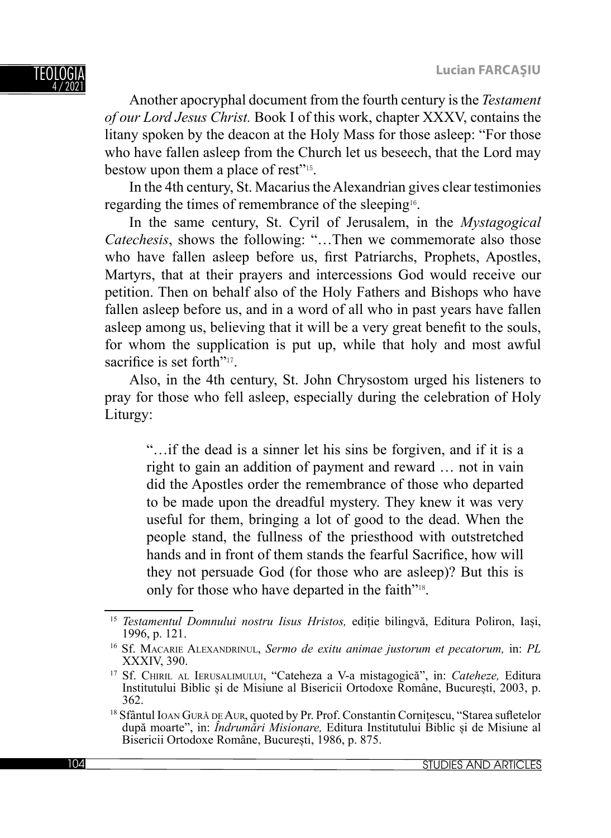Another apocryphal document from the fourth century is the *Testament of our Lord Jesus Christ.* Book I of this work, chapter XXXV, contains the litany spoken by the deacon at the Holy Mass for those asleep: "For those who have fallen asleep from the Church let us beseech, that the Lord may bestow upon them a place of rest"15.

In the 4th century, St. Macarius the Alexandrian gives clear testimonies regarding the times of remembrance of the sleeping16.

In the same century, St. Cyril of Jerusalem, in the *Mystagogical Catechesis*, shows the following: "…Then we commemorate also those who have fallen asleep before us, first Patriarchs, Prophets, Apostles, Martyrs, that at their prayers and intercessions God would receive our petition. Then on behalf also of the Holy Fathers and Bishops who have fallen asleep before us, and in a word of all who in past years have fallen asleep among us, believing that it will be a very great benefit to the souls, for whom the supplication is put up, while that holy and most awful sacrifice is set forth"<sup>17</sup>.

Also, in the 4th century, St. John Chrysostom urged his listeners to pray for those who fell asleep, especially during the celebration of Holy Liturgy:

"…if the dead is a sinner let his sins be forgiven, and if it is a right to gain an addition of payment and reward … not in vain did the Apostles order the remembrance of those who departed to be made upon the dreadful mystery. They knew it was very useful for them, bringing a lot of good to the dead. When the people stand, the fullness of the priesthood with outstretched hands and in front of them stands the fearful Sacrifice, how will they not persuade God (for those who are asleep)? But this is only for those who have departed in the faith"18.

<sup>15</sup> *Testamentul Domnului nostru Iisus Hristos,* ediție bilingvă, Editura Poliron, Iași,

<sup>1996,</sup> p. 121. 16 Sf. MACARIE ALEXANDRINUL, *Sermo de exitu animae justorum et pecatorum,* in: *PL*

<sup>&</sup>lt;sup>17</sup> Sf. CHIRIL AL IERUSALIMULUI, "Cateheza a V-a mistagogică", in: *Cateheze*, Editura Institutului Biblic și de Misiune al Bisericii Ortodoxe Române, București, 2003, p.

<sup>&</sup>lt;sup>18</sup> Sfântul IOAN GURĂ DE AUR, quoted by Pr. Prof. Constantin Cornițescu, "Starea sufletelor după moarte", in: *Îndrumări Misionare,* Editura Institutului Biblic și de Misiune al Bisericii Ortodoxe Române, București, 1986, p. 875.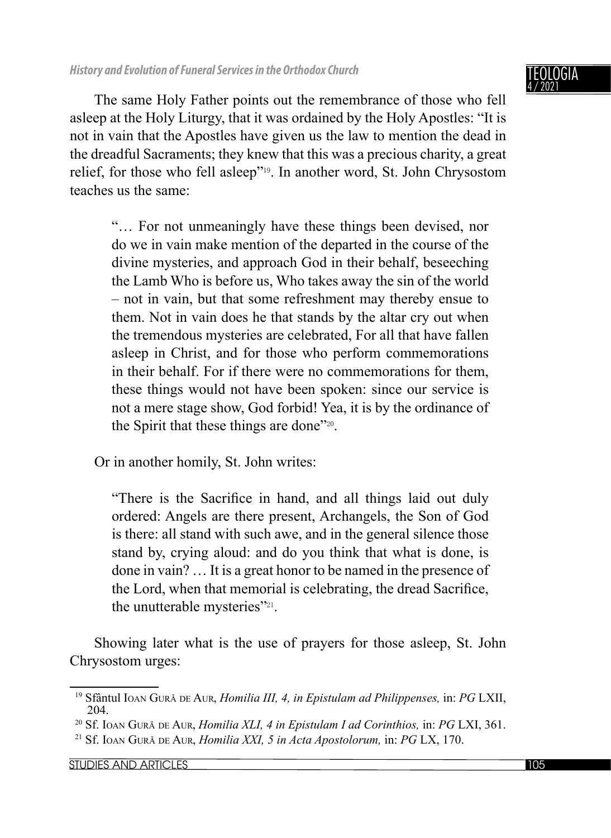The same Holy Father points out the remembrance of those who fell asleep at the Holy Liturgy, that it was ordained by the Holy Apostles: "It is not in vain that the Apostles have given us the law to mention the dead in the dreadful Sacraments; they knew that this was a precious charity, a great relief, for those who fell asleep"19. In another word, St. John Chrysostom teaches us the same:

"… For not unmeaningly have these things been devised, nor do we in vain make mention of the departed in the course of the divine mysteries, and approach God in their behalf, beseeching the Lamb Who is before us, Who takes away the sin of the world – not in vain, but that some refreshment may thereby ensue to them. Not in vain does he that stands by the altar cry out when the tremendous mysteries are celebrated, For all that have fallen asleep in Christ, and for those who perform commemorations in their behalf. For if there were no commemorations for them, these things would not have been spoken: since our service is not a mere stage show, God forbid! Yea, it is by the ordinance of the Spirit that these things are done"20.

Or in another homily, St. John writes:

"There is the Sacrifice in hand, and all things laid out duly ordered: Angels are there present, Archangels, the Son of God is there: all stand with such awe, and in the general silence those stand by, crying aloud: and do you think that what is done, is done in vain? … It is a great honor to be named in the presence of the Lord, when that memorial is celebrating, the dread Sacrifice, the unutterable mysteries"<sup>21</sup>.

Showing later what is the use of prayers for those asleep, St. John Chrysostom urges:

STUDIES AND ARTICLES 105

<sup>19</sup> Sfântul IOAN GUR<sup>Ă</sup> DE AUR, *Homilia III, 4, in Epistulam ad Philippenses,* in: *PG* LXII,

<sup>204. 20</sup> Sf. IOAN GUR<sup>Ă</sup> DE AUR, *Homilia XLI, 4 in Epistulam I ad Corinthios,* in: *PG* LXI, 361.

<sup>21</sup> Sf. IOAN GUR<sup>Ă</sup> DE AUR, *Homilia XXI, 5 in Acta Apostolorum,* in: *PG* LX, 170.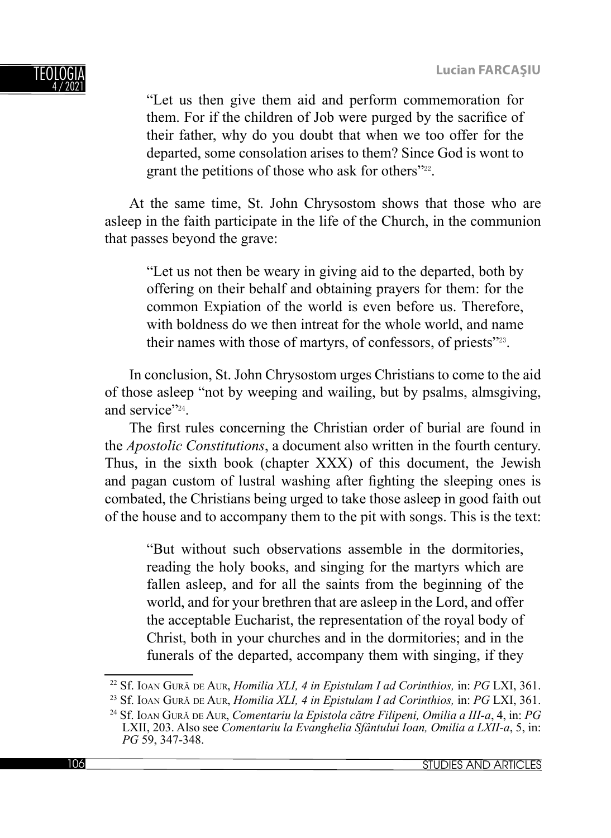

"Let us then give them aid and perform commemoration for them. For if the children of Job were purged by the sacrifice of their father, why do you doubt that when we too offer for the departed, some consolation arises to them? Since God is wont to grant the petitions of those who ask for others"<sup>22</sup>.

At the same time, St. John Chrysostom shows that those who are asleep in the faith participate in the life of the Church, in the communion that passes beyond the grave:

"Let us not then be weary in giving aid to the departed, both by offering on their behalf and obtaining prayers for them: for the common Expiation of the world is even before us. Therefore, with boldness do we then intreat for the whole world, and name their names with those of martyrs, of confessors, of priests"23.

In conclusion, St. John Chrysostom urges Christians to come to the aid of those asleep "not by weeping and wailing, but by psalms, almsgiving, and service"<sup>24</sup>

The first rules concerning the Christian order of burial are found in the *Apostolic Constitutions*, a document also written in the fourth century. Thus, in the sixth book (chapter XXX) of this document, the Jewish and pagan custom of lustral washing after fighting the sleeping ones is combated, the Christians being urged to take those asleep in good faith out of the house and to accompany them to the pit with songs. This is the text:

"But without such observations assemble in the dormitories, reading the holy books, and singing for the martyrs which are fallen asleep, and for all the saints from the beginning of the world, and for your brethren that are asleep in the Lord, and offer the acceptable Eucharist, the representation of the royal body of Christ, both in your churches and in the dormitories; and in the funerals of the departed, accompany them with singing, if they

<sup>22</sup> Sf. IOAN GUR<sup>Ă</sup> DE AUR, *Homilia XLI, 4 in Epistulam I ad Corinthios,* in: *PG* LXI, 361.

<sup>23</sup> Sf. IOAN GUR<sup>Ă</sup> DE AUR, *Homilia XLI, 4 in Epistulam I ad Corinthios,* in: *PG* LXI, 361.

<sup>24</sup> Sf. IOAN GUR<sup>Ă</sup> DE AUR, *Comentariu la Epistola către Filipeni, Omilia a III-a*, 4, in: *PG* LXII, 203. Also see *Comentariu la Evanghelia Sfântului Ioan, Omilia a LXII-a*, 5, in: *PG* 59, 347-348.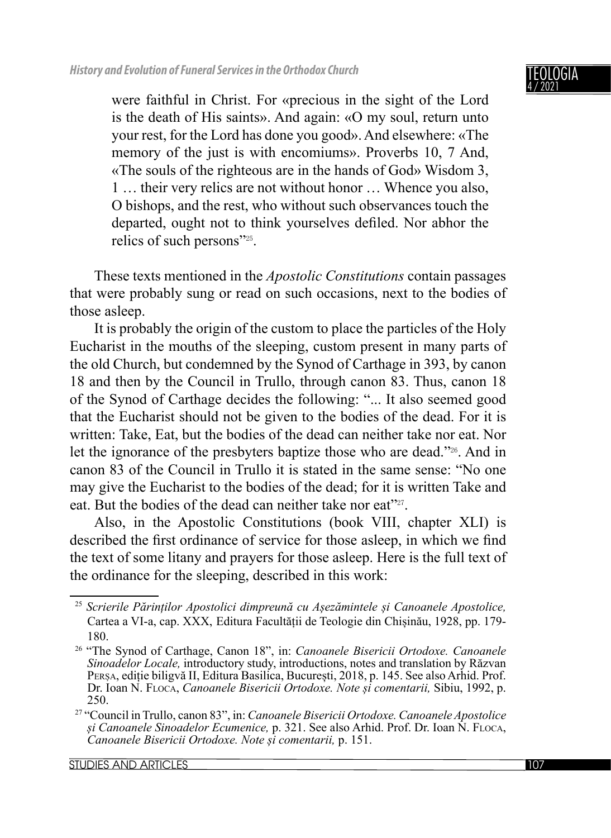### IGIA 4 / 2021

were faithful in Christ. For «precious in the sight of the Lord is the death of His saints». And again: «O my soul, return unto your rest, for the Lord has done you good». And elsewhere: «The memory of the just is with encomiums». Proverbs 10, 7 And, «The souls of the righteous are in the hands of God» Wisdom 3, 1 … their very relics are not without honor … Whence you also, O bishops, and the rest, who without such observances touch the departed, ought not to think yourselves defiled. Nor abhor the relics of such persons"25.

These texts mentioned in the *Apostolic Constitutions* contain passages that were probably sung or read on such occasions, next to the bodies of those asleep.

It is probably the origin of the custom to place the particles of the Holy Eucharist in the mouths of the sleeping, custom present in many parts of the old Church, but condemned by the Synod of Carthage in 393, by canon 18 and then by the Council in Trullo, through canon 83. Thus, canon 18 of the Synod of Carthage decides the following: "... It also seemed good that the Eucharist should not be given to the bodies of the dead. For it is written: Take, Eat, but the bodies of the dead can neither take nor eat. Nor let the ignorance of the presbyters baptize those who are dead."26. And in canon 83 of the Council in Trullo it is stated in the same sense: "No one may give the Eucharist to the bodies of the dead; for it is written Take and eat. But the bodies of the dead can neither take nor eat"<sup>27</sup>.

Also, in the Apostolic Constitutions (book VIII, chapter XLI) is described the first ordinance of service for those asleep, in which we find the text of some litany and prayers for those asleep. Here is the full text of the ordinance for the sleeping, described in this work:

<sup>25</sup> *Scrierile Părinților Apostolici dimpreună cu Așezămintele și Canoanele Apostolice,*  Cartea a VI-a, cap. XXX, Editura Facultății de Teologie din Chișinău, 1928, pp. 179- 180. 26 "The Synod of Carthage, Canon 18", in: *Canoanele Bisericii Ortodoxe. Canoanele* 

*Sinoadelor Locale,* introductory study, introductions, notes and translation by Răzvan PERȘA, ediție biligvă II, Editura Basilica, București, 2018, p. 145. See also Arhid. Prof. Dr. Ioan N. FLOCA, *Canoanele Bisericii Ortodoxe. Note și comentarii,* Sibiu, 1992, p. 250.

<sup>27 &</sup>quot;Council in Trullo, canon 83", in: *Canoanele Bisericii Ortodoxe. Canoanele Apostolice <sup>ș</sup>i Canoanele Sinoadelor Ecumenice,* p. 321. See also Arhid. Prof. Dr. Ioan N. FLOCA, *Canoanele Bisericii Ortodoxe. Note și comentarii,* p. 151.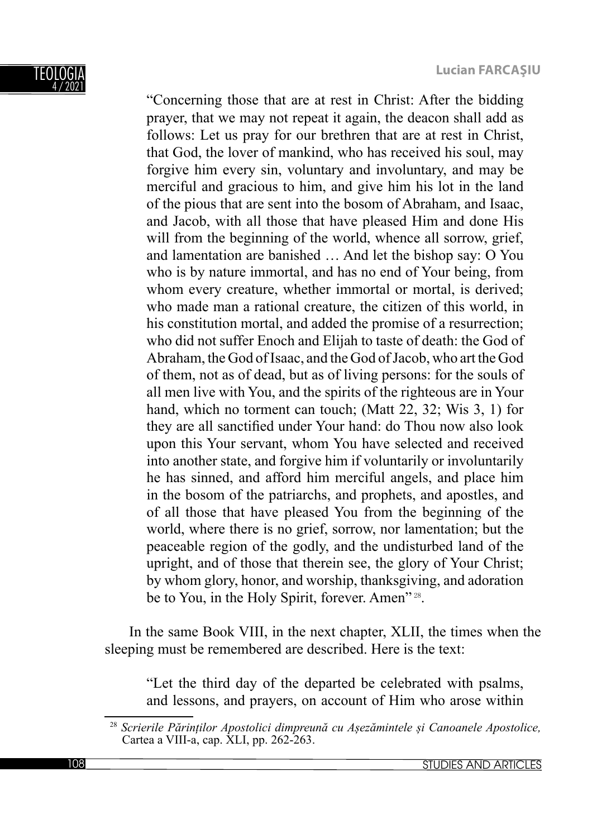

"Concerning those that are at rest in Christ: After the bidding prayer, that we may not repeat it again, the deacon shall add as follows: Let us pray for our brethren that are at rest in Christ, that God, the lover of mankind, who has received his soul, may forgive him every sin, voluntary and involuntary, and may be merciful and gracious to him, and give him his lot in the land of the pious that are sent into the bosom of Abraham, and Isaac, and Jacob, with all those that have pleased Him and done His will from the beginning of the world, whence all sorrow, grief, and lamentation are banished … And let the bishop say: O You who is by nature immortal, and has no end of Your being, from whom every creature, whether immortal or mortal, is derived; who made man a rational creature, the citizen of this world, in his constitution mortal, and added the promise of a resurrection; who did not suffer Enoch and Elijah to taste of death: the God of Abraham, the God of Isaac, and the God of Jacob, who art the God of them, not as of dead, but as of living persons: for the souls of all men live with You, and the spirits of the righteous are in Your hand, which no torment can touch; (Matt 22, 32; Wis 3, 1) for they are all sanctified under Your hand: do Thou now also look upon this Your servant, whom You have selected and received into another state, and forgive him if voluntarily or involuntarily he has sinned, and afford him merciful angels, and place him in the bosom of the patriarchs, and prophets, and apostles, and of all those that have pleased You from the beginning of the world, where there is no grief, sorrow, nor lamentation; but the peaceable region of the godly, and the undisturbed land of the upright, and of those that therein see, the glory of Your Christ; by whom glory, honor, and worship, thanksgiving, and adoration be to You, in the Holy Spirit, forever. Amen" 28.

In the same Book VIII, in the next chapter, XLII, the times when the sleeping must be remembered are described. Here is the text:

"Let the third day of the departed be celebrated with psalms, and lessons, and prayers, on account of Him who arose within

<sup>28</sup> *Scrierile Părinților Apostolici dimpreună cu Așezămintele și Canoanele Apostolice,*  Cartea a VIII-a, cap. XLI, pp. 262-263.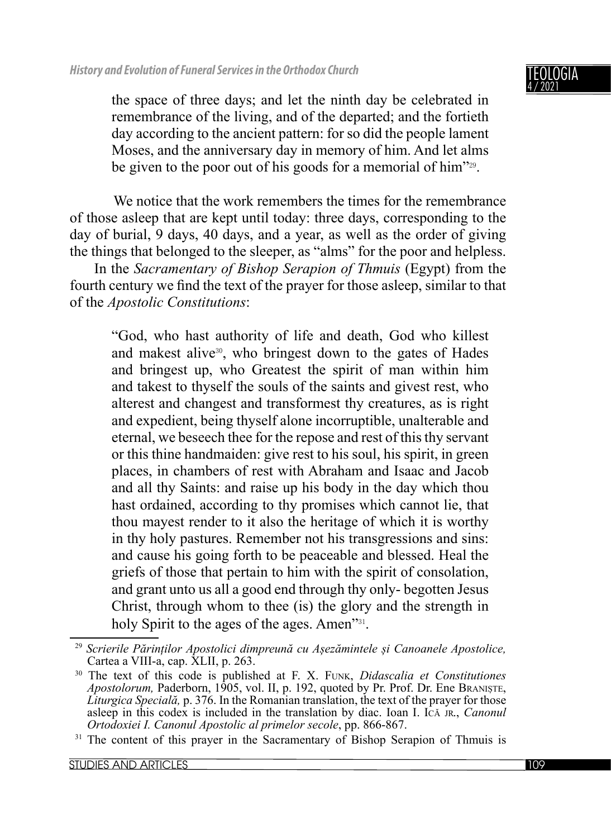### TEOLOGIA 4 / 2021

the space of three days; and let the ninth day be celebrated in remembrance of the living, and of the departed; and the fortieth day according to the ancient pattern: for so did the people lament Moses, and the anniversary day in memory of him. And let alms be given to the poor out of his goods for a memorial of him<sup>"29</sup>.

We notice that the work remembers the times for the remembrance of those asleep that are kept until today: three days, corresponding to the day of burial, 9 days, 40 days, and a year, as well as the order of giving the things that belonged to the sleeper, as "alms" for the poor and helpless.

In the *Sacramentary of Bishop Serapion of Thmuis* (Egypt) from the fourth century we find the text of the prayer for those asleep, similar to that of the *Apostolic Constitutions*:

"God, who hast authority of life and death, God who killest and makest alive<sup>30</sup>, who bringest down to the gates of Hades and bringest up, who Greatest the spirit of man within him and takest to thyself the souls of the saints and givest rest, who alterest and changest and transformest thy creatures, as is right and expedient, being thyself alone incorruptible, unalterable and eternal, we beseech thee for the repose and rest of this thy servant or this thine handmaiden: give rest to his soul, his spirit, in green places, in chambers of rest with Abraham and Isaac and Jacob and all thy Saints: and raise up his body in the day which thou hast ordained, according to thy promises which cannot lie, that thou mayest render to it also the heritage of which it is worthy in thy holy pastures. Remember not his transgressions and sins: and cause his going forth to be peaceable and blessed. Heal the griefs of those that pertain to him with the spirit of consolation, and grant unto us all a good end through thy only- begotten Jesus Christ, through whom to thee (is) the glory and the strength in holy Spirit to the ages of the ages. Amen<sup>"31</sup>.

<sup>29</sup> *Scrierile Părinților Apostolici dimpreună cu Așezămintele și Canoanele Apostolice,*  Cartea a VIII-a, cap. XLII, p. 263.

<sup>30</sup> The text of this code is published at F. X. FUNK, *Didascalia et Constitutiones Apostolorum,* Paderborn, 1905, vol. II, p. 192, quoted by Pr. Prof. Dr. Ene BRANIȘTE, *Liturgica Specială,* p. 376. In the Romanian translation, the text of the prayer for those asleep in this codex is included in the translation by diac. Ioan I. IcĂ JR., *Canonul Ortodoxiei I. Canonul Apostolic al primelor secole*, pp. 866-867.

<sup>&</sup>lt;sup>31</sup> The content of this prayer in the Sacramentary of Bishop Serapion of Thmuis is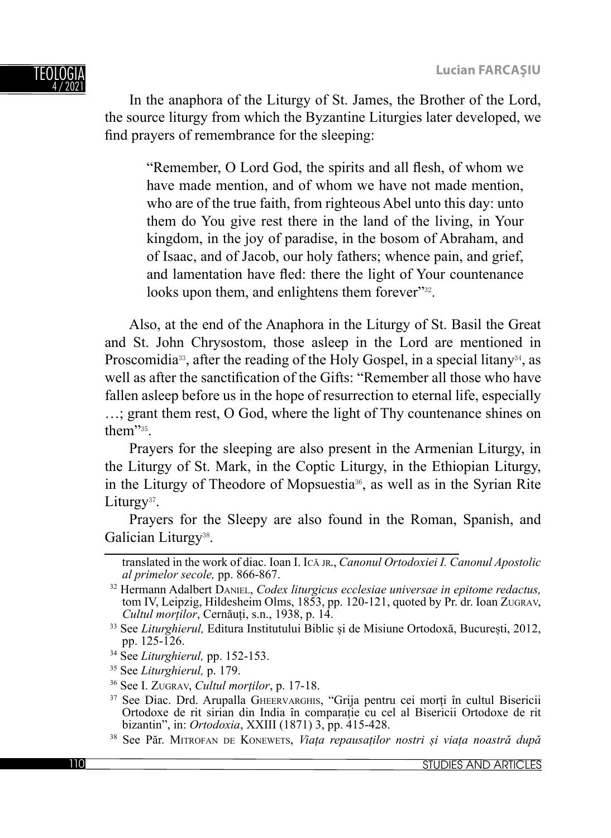

In the anaphora of the Liturgy of St. James, the Brother of the Lord, the source liturgy from which the Byzantine Liturgies later developed, we find prayers of remembrance for the sleeping:

"Remember, O Lord God, the spirits and all flesh, of whom we have made mention, and of whom we have not made mention, who are of the true faith, from righteous Abel unto this day: unto them do You give rest there in the land of the living, in Your kingdom, in the joy of paradise, in the bosom of Abraham, and of Isaac, and of Jacob, our holy fathers; whence pain, and grief, and lamentation have fled: there the light of Your countenance looks upon them, and enlightens them forever"<sup>32</sup>.

Also, at the end of the Anaphora in the Liturgy of St. Basil the Great and St. John Chrysostom, those asleep in the Lord are mentioned in Proscomidia<sup>33</sup>, after the reading of the Holy Gospel, in a special litany<sup>34</sup>, as well as after the sanctification of the Gifts: "Remember all those who have fallen asleep before us in the hope of resurrection to eternal life, especially …; grant them rest, O God, where the light of Thy countenance shines on them"35.

Prayers for the sleeping are also present in the Armenian Liturgy, in the Liturgy of St. Mark, in the Coptic Liturgy, in the Ethiopian Liturgy, in the Liturgy of Theodore of Mopsuestia36, as well as in the Syrian Rite Liturgy<sup>37</sup>.

Prayers for the Sleepy are also found in the Roman, Spanish, and Galician Liturgy<sup>38</sup>.

translated in the work of diac. Ioan I. IC<sup>Ă</sup> JR., *Canonul Ortodoxiei I. Canonul Apostolic* 

<sup>&</sup>lt;sup>32</sup> Hermann Adalbert DANIEL, *Codex liturgicus ecclesiae universae in epitome redactus*, tom IV, Leipzig, Hildesheim Olms, 1853, pp. 120-121, quoted by Pr. dr. Ioan ZUGRAV, Cultul mortilor, Cernăuți, s.n., 1938, p. 14.

<sup>&</sup>lt;sup>33</sup> See *Liturghierul*, Editura Institutului Biblic și de Misiune Ortodoxă, București, 2012, pp. 125-126.

<sup>34</sup> See *Liturghierul,* pp. 152-153.

<sup>35</sup> See *Liturghierul,* p. 179.

<sup>36</sup> See I. ZUGRAV, *Cultul morților*, p. 17-18. 37 See Diac. Drd. Arupalla GHEERVARGHIS, "Grija pentru cei morți în cultul Bisericii Ortodoxe de rit sirian din India în comparație cu cel al Bisericii Ortodoxe de rit

<sup>&</sup>lt;sup>38</sup> See Păr. MITROFAN DE KONEWETS, Viața repausaților nostri și viața noastră după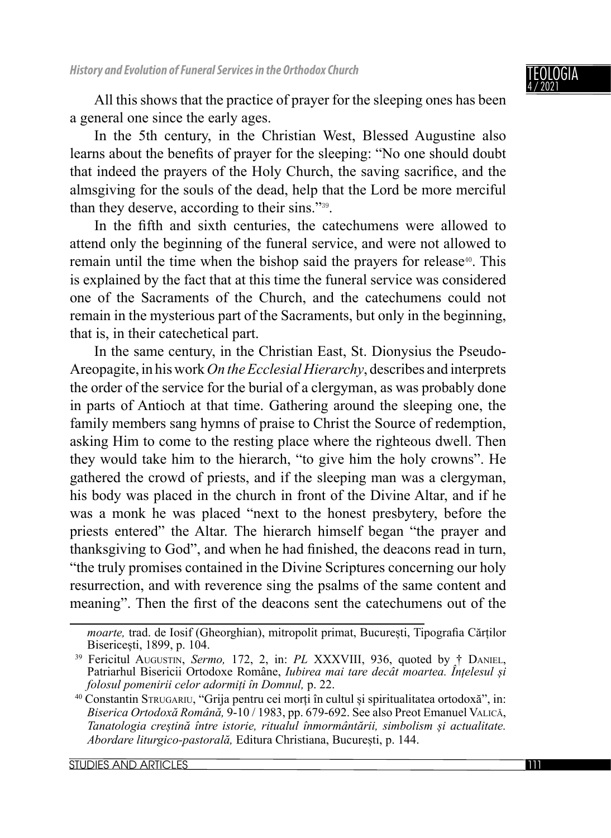

All this shows that the practice of prayer for the sleeping ones has been a general one since the early ages.

In the 5th century, in the Christian West, Blessed Augustine also learns about the benefits of prayer for the sleeping: "No one should doubt that indeed the prayers of the Holy Church, the saving sacrifice, and the almsgiving for the souls of the dead, help that the Lord be more merciful than they deserve, according to their sins."39.

In the fifth and sixth centuries, the cate chumens were allowed to attend only the beginning of the funeral service, and were not allowed to remain until the time when the bishop said the prayers for release<sup>40</sup>. This is explained by the fact that at this time the funeral service was considered one of the Sacraments of the Church, and the catechumens could not remain in the mysterious part of the Sacraments, but only in the beginning, that is, in their catechetical part.

In the same century, in the Christian East, St. Dionysius the Pseudo-Areopagite, in his work *On the Ecclesial Hierarchy*, describes and interprets the order of the service for the burial of a clergyman, as was probably done in parts of Antioch at that time. Gathering around the sleeping one, the family members sang hymns of praise to Christ the Source of redemption, asking Him to come to the resting place where the righteous dwell. Then they would take him to the hierarch, "to give him the holy crowns". He gathered the crowd of priests, and if the sleeping man was a clergyman, his body was placed in the church in front of the Divine Altar, and if he was a monk he was placed "next to the honest presbytery, before the priests entered" the Altar. The hierarch himself began "the prayer and thanksgiving to God", and when he had finished, the deacons read in turn, "the truly promises contained in the Divine Scriptures concerning our holy resurrection, and with reverence sing the psalms of the same content and meaning". Then the first of the deacons sent the catechumens out of the

*moarte*, trad. de Iosif (Gheorghian), mitropolit primat, București, Tipografia Cărților Bisericești, 1899, p. 104.

<sup>&</sup>lt;sup>39</sup> Fericitul AUGUSTIN, Sermo, 172, 2, in: PL XXXVIII, 936, quoted by † DANIEL, Patriarhul Bisericii Ortodoxe Române, *Iubirea mai tare decât moartea. Întelesul si folosul pomenirii celor adormiți în Domnul,* p. 22.

<sup>40</sup> Constantin STRUGARIU, "Grija pentru cei morți în cultul și spiritualitatea ortodoxă", in: *Biserica Ortodoxă Română,* 9-10 / 1983, pp. 679-692. See also Preot Emanuel VALICĂ, *Tanatologia creștină între istorie, ritualul înmormântării, simbolism și actualitate. Abordare liturgico-pastorală,* Editura Christiana, București, p. 144.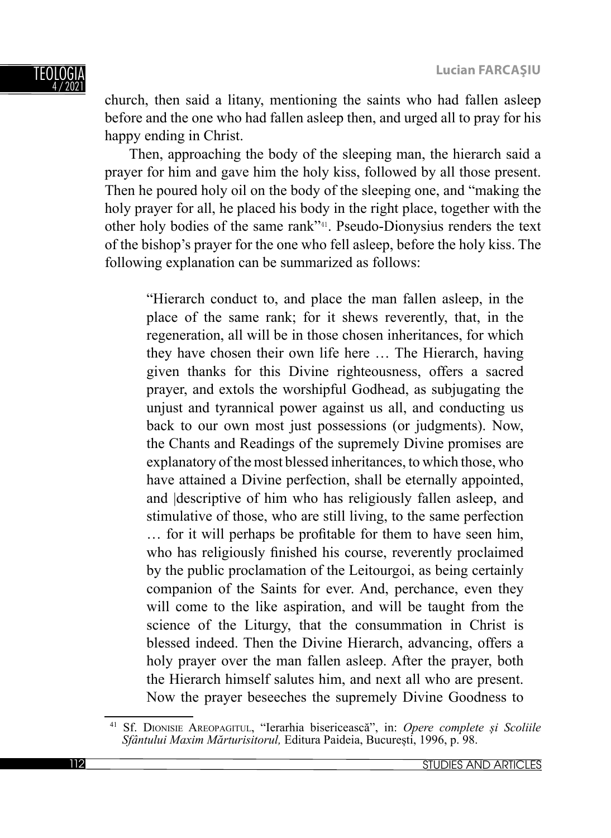church, then said a litany, mentioning the saints who had fallen asleep before and the one who had fallen asleep then, and urged all to pray for his happy ending in Christ.

Then, approaching the body of the sleeping man, the hierarch said a prayer for him and gave him the holy kiss, followed by all those present. Then he poured holy oil on the body of the sleeping one, and "making the holy prayer for all, he placed his body in the right place, together with the other holy bodies of the same rank"41. Pseudo-Dionysius renders the text of the bishop's prayer for the one who fell asleep, before the holy kiss. The following explanation can be summarized as follows:

"Hierarch conduct to, and place the man fallen asleep, in the place of the same rank; for it shews reverently, that, in the regeneration, all will be in those chosen inheritances, for which they have chosen their own life here … The Hierarch, having given thanks for this Divine righteousness, offers a sacred prayer, and extols the worshipful Godhead, as subjugating the unjust and tyrannical power against us all, and conducting us back to our own most just possessions (or judgments). Now, the Chants and Readings of the supremely Divine promises are explanatory of the most blessed inheritances, to which those, who have attained a Divine perfection, shall be eternally appointed, and |descriptive of him who has religiously fallen asleep, and stimulative of those, who are still living, to the same perfection ... for it will perhaps be profitable for them to have seen him, who has religiously finished his course, reverently proclaimed by the public proclamation of the Leitourgoi, as being certainly companion of the Saints for ever. And, perchance, even they will come to the like aspiration, and will be taught from the science of the Liturgy, that the consummation in Christ is blessed indeed. Then the Divine Hierarch, advancing, offers a holy prayer over the man fallen asleep. After the prayer, both the Hierarch himself salutes him, and next all who are present. Now the prayer beseeches the supremely Divine Goodness to

<sup>41</sup> Sf. DIONISIE AREOPAGITUL, "Ierarhia bisericească", in: *Opere complete și Scoliile Sfântului Maxim Mărturisitorul,* Editura Paideia, București, 1996, p. 98.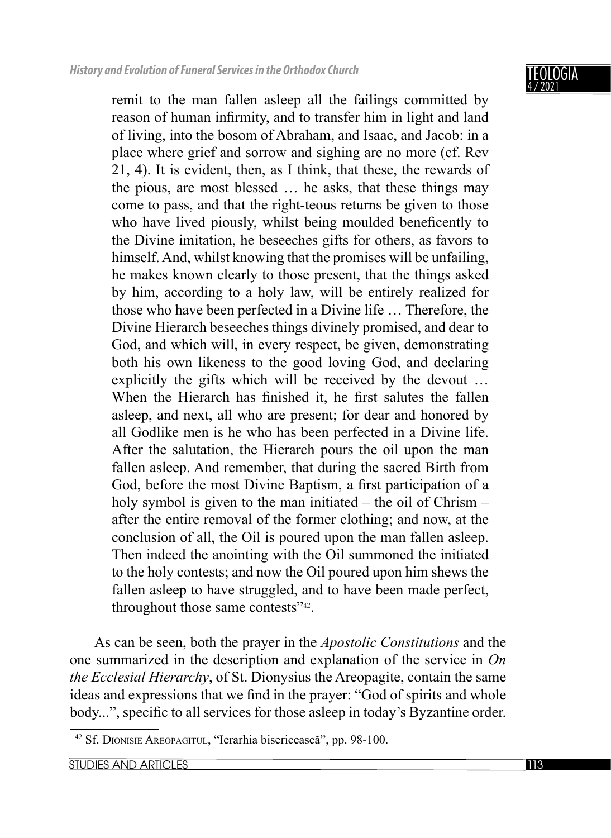

remit to the man fallen asleep all the failings committed by reason of human infirmity, and to transfer him in light and land of living, into the bosom of Abraham, and Isaac, and Jacob: in a place where grief and sorrow and sighing are no more (cf. Rev 21, 4). It is evident, then, as I think, that these, the rewards of the pious, are most blessed … he asks, that these things may come to pass, and that the right-teous returns be given to those who have lived piously, whilst being moulded beneficently to the Divine imitation, he beseeches gifts for others, as favors to himself. And, whilst knowing that the promises will be unfailing, he makes known clearly to those present, that the things asked by him, according to a holy law, will be entirely realized for those who have been perfected in a Divine life … Therefore, the Divine Hierarch beseeches things divinely promised, and dear to God, and which will, in every respect, be given, demonstrating both his own likeness to the good loving God, and declaring explicitly the gifts which will be received by the devout … When the Hierarch has finished it, he first salutes the fallen asleep, and next, all who are present; for dear and honored by all Godlike men is he who has been perfected in a Divine life. After the salutation, the Hierarch pours the oil upon the man fallen asleep. And remember, that during the sacred Birth from God, before the most Divine Baptism, a first participation of a holy symbol is given to the man initiated – the oil of Chrism – after the entire removal of the former clothing; and now, at the conclusion of all, the Oil is poured upon the man fallen asleep. Then indeed the anointing with the Oil summoned the initiated to the holy contests; and now the Oil poured upon him shews the fallen asleep to have struggled, and to have been made perfect, throughout those same contests"42.

As can be seen, both the prayer in the *Apostolic Constitutions* and the one summarized in the description and explanation of the service in *On the Ecclesial Hierarchy*, of St. Dionysius the Areopagite, contain the same ideas and expressions that we find in the prayer: "God of spirits and whole body...", specific to all services for those asleep in today's Byzantine order.

<sup>42</sup> Sf. DIONISIE AREOPAGITUL, "Ierarhia bisericească", pp. 98-100.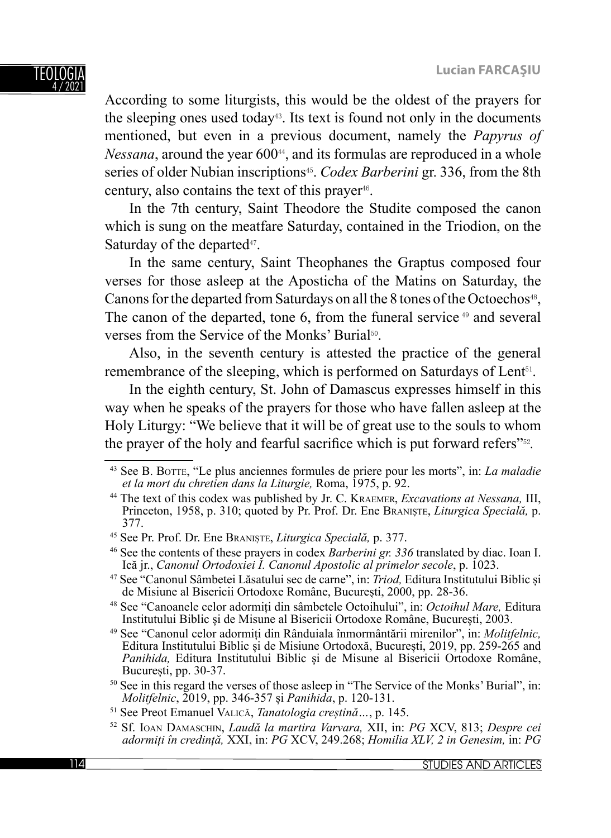According to some liturgists, this would be the oldest of the prayers for the sleeping ones used today<sup> $43$ </sup>. Its text is found not only in the documents mentioned, but even in a previous document, namely the *Papyrus of Nessana*, around the year 600<sup>44</sup>, and its formulas are reproduced in a whole series of older Nubian inscriptions45. *Codex Barberini* gr. 336, from the 8th century, also contains the text of this prayer<sup>46</sup>.

In the 7th century, Saint Theodore the Studite composed the canon which is sung on the meatfare Saturday, contained in the Triodion, on the Saturday of the departed<sup>47</sup>.

In the same century, Saint Theophanes the Graptus composed four verses for those asleep at the Aposticha of the Matins on Saturday, the Canons for the departed from Saturdays on all the 8 tones of the Octoechos<sup>48</sup>, The canon of the departed, tone 6, from the funeral service <sup>49</sup> and several verses from the Service of the Monks' Burial50.

Also, in the seventh century is attested the practice of the general remembrance of the sleeping, which is performed on Saturdays of Lent<sup>51</sup>.

In the eighth century, St. John of Damascus expresses himself in this way when he speaks of the prayers for those who have fallen asleep at the Holy Liturgy: "We believe that it will be of great use to the souls to whom the prayer of the holy and fearful sacrifice which is put forward refers<sup>"52</sup>.

<sup>43</sup> See B. BOTTE, "Le plus anciennes formules de priere pour les morts", in: *La maladie et la mort du chretien dans la Liturgie,* Roma, 1975, p. 92.

<sup>44</sup> The text of this codex was published by Jr. C. KRAEMER, *Excavations at Nessana,* III, Princeton, 1958, p. 310; quoted by Pr. Prof. Dr. Ene BRANIȘTE, *Liturgica Specială,* p. 377.

<sup>45</sup> See Pr. Prof. Dr. Ene BRANIȘTE, *Liturgica Specială,* p. 377.

<sup>46</sup> See the contents of these prayers in codex *Barberini gr. 336* translated by diac. Ioan I.

<sup>&</sup>lt;sup>47</sup> See "Canonul Sâmbetei Lăsatului sec de carne", in: *Triod*, Editura Institutului Biblic și de Misiune al Bisericii Ortodoxe Române, București, 2000, pp. 28-36.

<sup>&</sup>lt;sup>48</sup> See "Canoanele celor adormiți din sâmbetele Octoihului", in: *Octoihul Mare*, Editura Institutului Biblic și de Misune al Bisericii Ortodoxe Române, București, 2003.

<sup>&</sup>lt;sup>49</sup> See "Canonul celor adormiți din Rânduiala înmormântării mirenilor", in: *Molitfelnic*, Editura Institutului Biblic și de Misiune Ortodoxă, București, 2019, pp. 259-265 and *Panihida,* Editura Institutului Biblic și de Misune al Bisericii Ortodoxe Române, București, pp. 30-37.

<sup>&</sup>lt;sup>50</sup> See in this regard the verses of those asleep in "The Service of the Monks' Burial", in: *Molitfelnic*, 2019, pp. 346-357 și *Panihida*, p. 120-131.

<sup>51</sup> See Preot Emanuel VALICĂ, *Tanatologia creștină…*, p. 145. 52 Sf. IOAN DAMASCHIN, *Laudă la martira Varvara,* XII, in: *PG* XCV, 813; *Despre cei adormiți în credință,* XXI, in: *PG* XCV, 249.268; *Homilia XLV, 2 in Genesim,* in: *PG*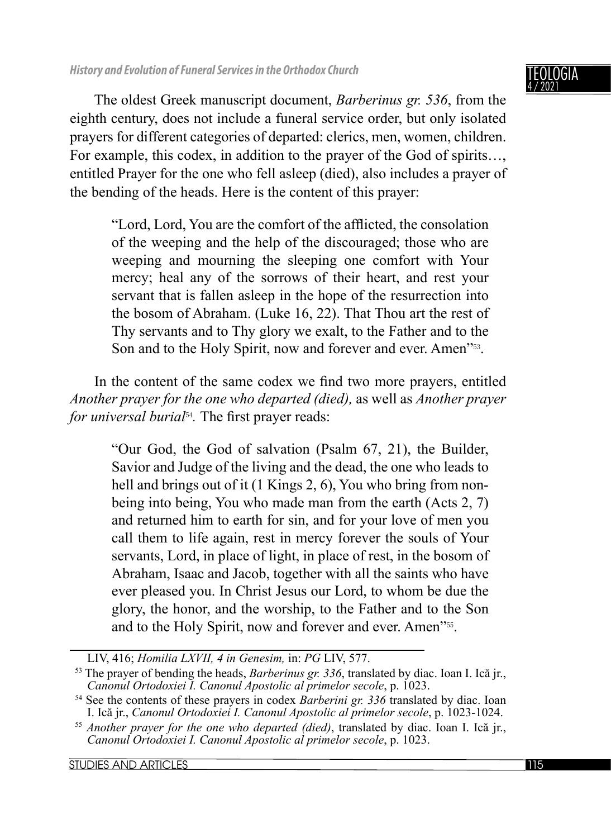IGIA 4 / 2021

The oldest Greek manuscript document, *Barberinus gr. 536*, from the eighth century, does not include a funeral service order, but only isolated prayers for different categories of departed: clerics, men, women, children. For example, this codex, in addition to the prayer of the God of spirits…, entitled Prayer for the one who fell asleep (died), also includes a prayer of the bending of the heads. Here is the content of this prayer:

"Lord, Lord, You are the comfort of the afflicted, the consolation of the weeping and the help of the discouraged; those who are weeping and mourning the sleeping one comfort with Your mercy; heal any of the sorrows of their heart, and rest your servant that is fallen asleep in the hope of the resurrection into the bosom of Abraham. (Luke 16, 22). That Thou art the rest of Thy servants and to Thy glory we exalt, to the Father and to the Son and to the Holy Spirit, now and forever and ever. Amen<sup>753</sup>.

In the content of the same codex we find two more prayers, entitled *Another prayer for the one who departed (died),* as well as *Another prayer for universal burial*<sup>54</sup>. The first prayer reads:

> "Our God, the God of salvation (Psalm 67, 21), the Builder, Savior and Judge of the living and the dead, the one who leads to hell and brings out of it (1 Kings 2, 6), You who bring from nonbeing into being, You who made man from the earth (Acts 2, 7) and returned him to earth for sin, and for your love of men you call them to life again, rest in mercy forever the souls of Your servants, Lord, in place of light, in place of rest, in the bosom of Abraham, Isaac and Jacob, together with all the saints who have ever pleased you. In Christ Jesus our Lord, to whom be due the glory, the honor, and the worship, to the Father and to the Son and to the Holy Spirit, now and forever and ever. Amen"55.

LIV, 416; *Homilia LXVII, 4 in Genesim, in: PG LIV, 577*.<br><sup>53</sup> The prayer of bending the heads, *Barberinus gr. 336*, translated by diac. Ioan I. Ică jr., *Canonul Ortodoxiei I. Canonul Apostolic al primelor secole*, p. 10

<sup>&</sup>lt;sup>54</sup> See the contents of these prayers in codex *Barberini gr. 336* translated by diac. Ioan I. Ică ir., *Canonul Ortodoxiei I. Canonul Apostolic al primelor secole*, p. 1023-1024.

<sup>&</sup>lt;sup>55</sup> Another prayer for the one who departed (died), translated by diac. Ioan I. Ică jr., *Canonul Ortodoxiei I. Canonul Apostolic al primelor secole*, p. 1023.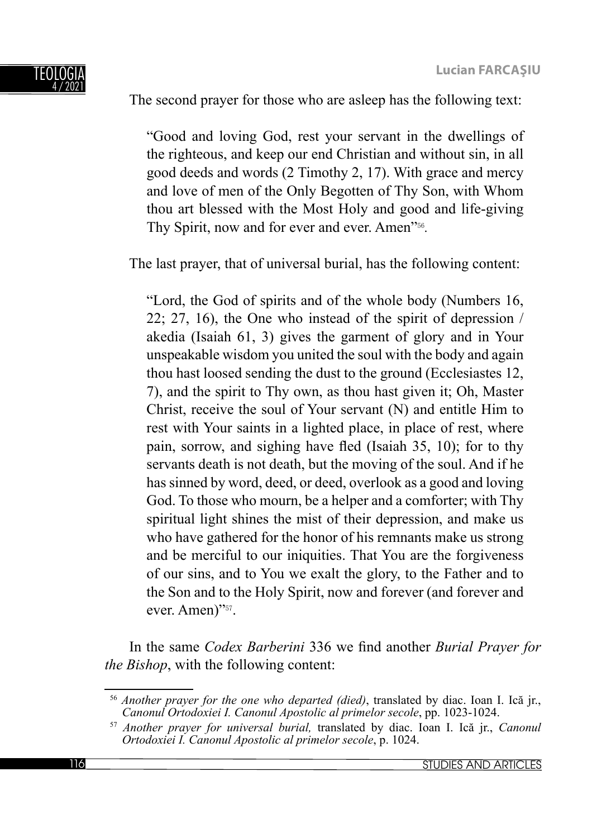# The second prayer for those who are asleep has the following text:

"Good and loving God, rest your servant in the dwellings of the righteous, and keep our end Christian and without sin, in all good deeds and words (2 Timothy 2, 17). With grace and mercy and love of men of the Only Begotten of Thy Son, with Whom thou art blessed with the Most Holy and good and life-giving Thy Spirit, now and for ever and ever. Amen"56*.*

The last prayer, that of universal burial, has the following content:

"Lord, the God of spirits and of the whole body (Numbers 16, 22; 27, 16), the One who instead of the spirit of depression / akedia (Isaiah 61, 3) gives the garment of glory and in Your unspeakable wisdom you united the soul with the body and again thou hast loosed sending the dust to the ground (Ecclesiastes 12, 7), and the spirit to Thy own, as thou hast given it; Oh, Master Christ, receive the soul of Your servant (N) and entitle Him to rest with Your saints in a lighted place, in place of rest, where pain, sorrow, and sighing have fled (Isaiah  $35$ , 10); for to thy servants death is not death, but the moving of the soul. And if he has sinned by word, deed, or deed, overlook as a good and loving God. To those who mourn, be a helper and a comforter; with Thy spiritual light shines the mist of their depression, and make us who have gathered for the honor of his remnants make us strong and be merciful to our iniquities. That You are the forgiveness of our sins, and to You we exalt the glory, to the Father and to the Son and to the Holy Spirit, now and forever (and forever and ever. Amen)"<sup>57</sup>.

In the same *Codex Barberini* 336 we find another *Burial Prayer for the Bishop*, with the following content:

<sup>56</sup> *Another prayer for the one who departed (died)*, translated by diac. Ioan I. Ică jr., *Canonul Ortodoxiei I. Canonul Apostolic al primelor secole*, pp. 1023-1024.

<sup>57</sup> *Another prayer for universal burial,* translated by diac. Ioan I. Ică jr., *Canonul Ortodoxiei I. Canonul Apostolic al primelor secole*, p. 1024.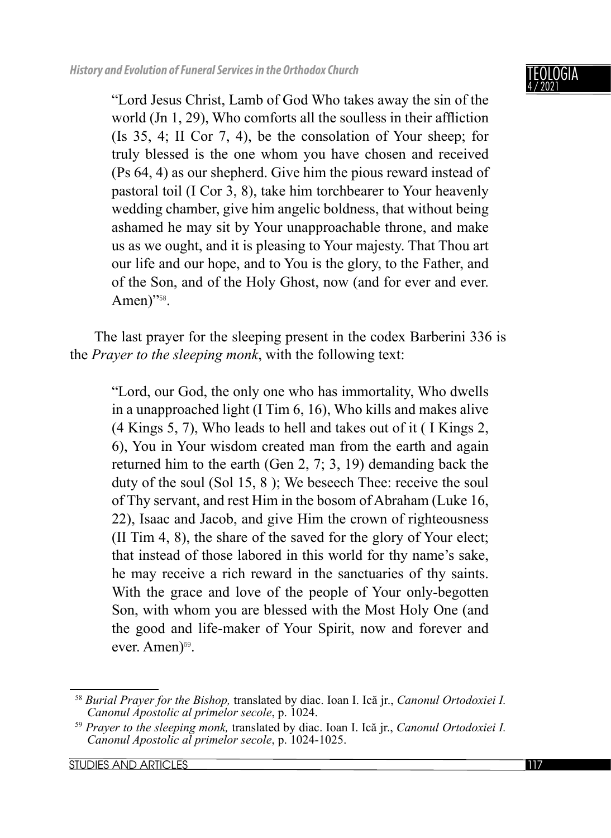## IGIA 4 / 2021

"Lord Jesus Christ, Lamb of God Who takes away the sin of the world  $(In 1, 29)$ , Who comforts all the soulless in their affliction (Is 35, 4; II Cor 7, 4), be the consolation of Your sheep; for truly blessed is the one whom you have chosen and received (Ps 64, 4) as our shepherd. Give him the pious reward instead of pastoral toil (I Cor 3, 8), take him torchbearer to Your heavenly wedding chamber, give him angelic boldness, that without being ashamed he may sit by Your unapproachable throne, and make us as we ought, and it is pleasing to Your majesty. That Thou art our life and our hope, and to You is the glory, to the Father, and of the Son, and of the Holy Ghost, now (and for ever and ever. Amen)"<sup>58</sup>.

The last prayer for the sleeping present in the codex Barberini 336 is the *Prayer to the sleeping monk*, with the following text:

"Lord, our God, the only one who has immortality, Who dwells in a unapproached light (I Tim 6, 16), Who kills and makes alive (4 Kings 5, 7), Who leads to hell and takes out of it ( I Kings 2, 6), You in Your wisdom created man from the earth and again returned him to the earth (Gen 2, 7; 3, 19) demanding back the duty of the soul (Sol 15, 8 ); We beseech Thee: receive the soul of Thy servant, and rest Him in the bosom of Abraham (Luke 16, 22), Isaac and Jacob, and give Him the crown of righteousness (II Tim 4, 8), the share of the saved for the glory of Your elect; that instead of those labored in this world for thy name's sake, he may receive a rich reward in the sanctuaries of thy saints. With the grace and love of the people of Your only-begotten Son, with whom you are blessed with the Most Holy One (and the good and life-maker of Your Spirit, now and forever and ever. Amen)<sup>59</sup>.

STUDIES AND ARTICLES **117** 

<sup>58</sup> *Burial Prayer for the Bishop,* translated by diac. Ioan I. Ică jr., *Canonul Ortodoxiei I. Canonul Apostolic al primelor secole*, p. 1024.

<sup>59</sup> *Prayer to the sleeping monk,* translated by diac. Ioan I. Ică jr., *Canonul Ortodoxiei I. Canonul Apostolic al primelor secole*, p. 1024-1025.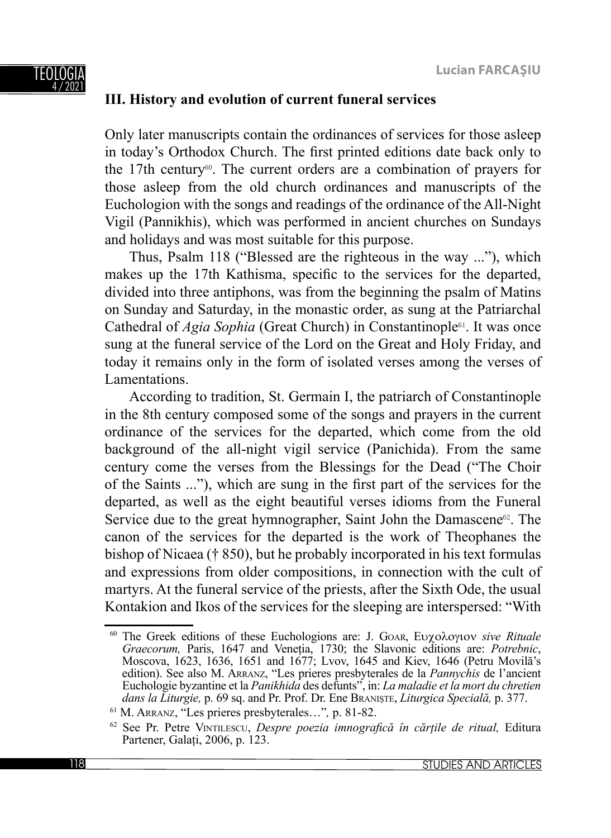#### TEOLOGIA 4 / 2021

## **III. History and evolution of current funeral services**

Only later manuscripts contain the ordinances of services for those asleep in today's Orthodox Church. The first printed editions date back only to the 17th century<sup>60</sup>. The current orders are a combination of prayers for those asleep from the old church ordinances and manuscripts of the Euchologion with the songs and readings of the ordinance of the All-Night Vigil (Pannikhis), which was performed in ancient churches on Sundays and holidays and was most suitable for this purpose.

Thus, Psalm 118 ("Blessed are the righteous in the way ..."), which makes up the 17th Kathisma, specific to the services for the departed, divided into three antiphons, was from the beginning the psalm of Matins on Sunday and Saturday, in the monastic order, as sung at the Patriarchal Cathedral of *Agia Sophia* (Great Church) in Constantinople<sup>61</sup>. It was once sung at the funeral service of the Lord on the Great and Holy Friday, and today it remains only in the form of isolated verses among the verses of Lamentations.

According to tradition, St. Germain I, the patriarch of Constantinople in the 8th century composed some of the songs and prayers in the current ordinance of the services for the departed, which come from the old background of the all-night vigil service (Panichida). From the same century come the verses from the Blessings for the Dead ("The Choir of the Saints ..."), which are sung in the first part of the services for the departed, as well as the eight beautiful verses idioms from the Funeral Service due to the great hymnographer, Saint John the Damascene<sup>62</sup>. The canon of the services for the departed is the work of Theophanes the bishop of Nicaea († 850), but he probably incorporated in his text formulas and expressions from older compositions, in connection with the cult of martyrs. At the funeral service of the priests, after the Sixth Ode, the usual Kontakion and Ikos of the services for the sleeping are interspersed: "With

<sup>60</sup> The Greek editions of these Euchologions are: J. GOAR, Ευχολογιον *sive Rituale Graecorum,* Paris, 1647 and Veneția, 1730; the Slavonic editions are: *Potrebnic*, Moscova, 1623, 1636, 1651 and 1677; Lvov, 1645 and Kiev, 1646 (Petru Movilă's edition). See also M. ARRANZ, "Les prieres presbyterales de la *Pannychis* de l'ancient Euchologie byzantine et la *Panikhida* des defunts", in: *La maladie et la mort du chretien dans la Liturgie, p.* 69 sq. and Pr. Prof. Dr. Ene BRANIȘTE, *Liturgica Specială, p.* 377. <sup>61</sup> M. ARRANZ, "Les prieres presbyterales...", p. 81-82.

<sup>62</sup> See Pr. Petre VINTILESCU, *Despre poezia imnografi că în cărțile de ritual,* Editura Partener, Galați, 2006, p. 123.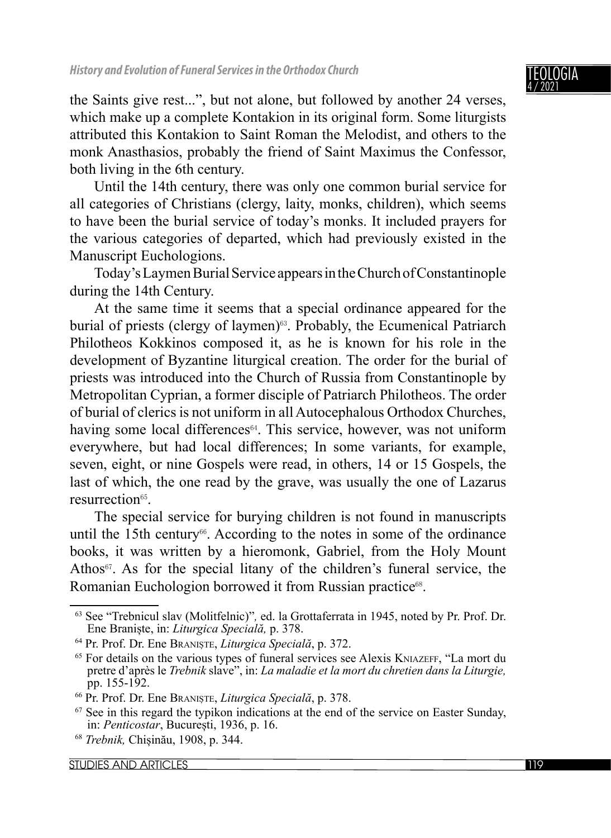NGIA 4 / 2021

the Saints give rest...", but not alone, but followed by another 24 verses, which make up a complete Kontakion in its original form. Some liturgists attributed this Kontakion to Saint Roman the Melodist, and others to the monk Anasthasios, probably the friend of Saint Maximus the Confessor, both living in the 6th century.

Until the 14th century, there was only one common burial service for all categories of Christians (clergy, laity, monks, children), which seems to have been the burial service of today's monks. It included prayers for the various categories of departed, which had previously existed in the Manuscript Euchologions.

Today's Laymen Burial Service appears in the Church of Constantinople during the 14th Century.

At the same time it seems that a special ordinance appeared for the burial of priests (clergy of laymen)<sup>63</sup>. Probably, the Ecumenical Patriarch Philotheos Kokkinos composed it, as he is known for his role in the development of Byzantine liturgical creation. The order for the burial of priests was introduced into the Church of Russia from Constantinople by Metropolitan Cyprian, a former disciple of Patriarch Philotheos. The order of burial of clerics is not uniform in all Autocephalous Orthodox Churches, having some local differences<sup>64</sup>. This service, however, was not uniform everywhere, but had local differences; In some variants, for example, seven, eight, or nine Gospels were read, in others, 14 or 15 Gospels, the last of which, the one read by the grave, was usually the one of Lazarus resurrection<sup>65</sup>

The special service for burying children is not found in manuscripts until the 15th century<sup>66</sup>. According to the notes in some of the ordinance books, it was written by a hieromonk, Gabriel, from the Holy Mount Athos<sup>67</sup>. As for the special litany of the children's funeral service, the Romanian Euchologion borrowed it from Russian practice<sup>68</sup>.

<sup>63</sup> See "Trebnicul slav (Molitfelnic)"*,* ed. la Grottaferrata in 1945, noted by Pr. Prof. Dr.

Ene Braniște, in: *Liturgica Specială,* p. 378. 64 Pr. Prof. Dr. Ene BRANIȘTE, *Liturgica Specială*, p. 372.

<sup>65</sup> For details on the various types of funeral services see Alexis KNIAZEFF, "La mort du pretre d'après le *Trebnik* slave", in: *La maladie et la mort du chretien dans la Liturgie,* 

pp. 155-192. 66 Pr. Prof. Dr. Ene BRANIȘTE, *Liturgica Specială*, p. 378.

 $67$  See in this regard the typikon indications at the end of the service on Easter Sunday, in: *Penticostar*, București, 1936, p. 16.

<sup>68</sup> *Trebnik,* Chișinău, 1908, p. 344.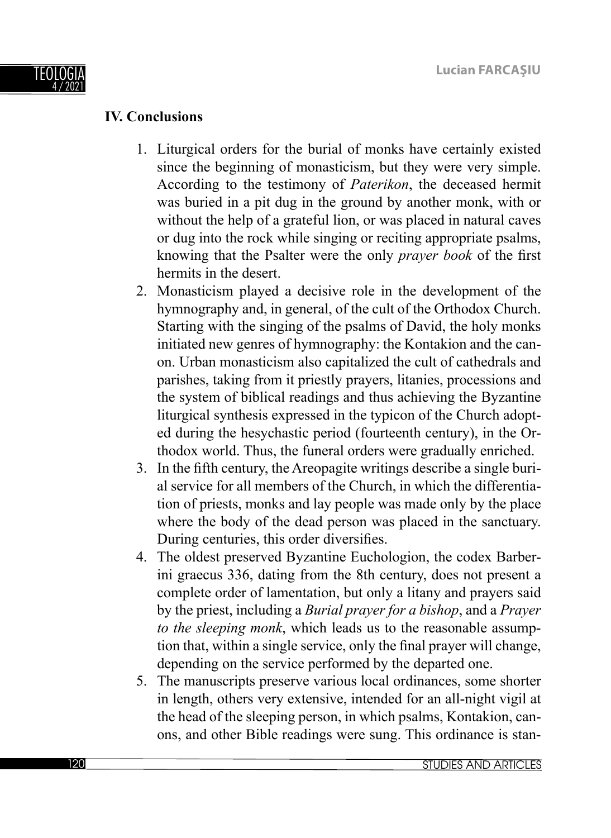

## **IV. Conclusions**

- 1. Liturgical orders for the burial of monks have certainly existed since the beginning of monasticism, but they were very simple. According to the testimony of *Paterikon*, the deceased hermit was buried in a pit dug in the ground by another monk, with or without the help of a grateful lion, or was placed in natural caves or dug into the rock while singing or reciting appropriate psalms, knowing that the Psalter were the only *prayer book* of the first hermits in the desert.
- 2. Monasticism played a decisive role in the development of the hymnography and, in general, of the cult of the Orthodox Church. Starting with the singing of the psalms of David, the holy monks initiated new genres of hymnography: the Kontakion and the canon. Urban monasticism also capitalized the cult of cathedrals and parishes, taking from it priestly prayers, litanies, processions and the system of biblical readings and thus achieving the Byzantine liturgical synthesis expressed in the typicon of the Church adopted during the hesychastic period (fourteenth century), in the Orthodox world. Thus, the funeral orders were gradually enriched.
- 3. In the fifth century, the Areopagite writings describe a single burial service for all members of the Church, in which the differentiation of priests, monks and lay people was made only by the place where the body of the dead person was placed in the sanctuary. During centuries, this order diversifies.
- 4. The oldest preserved Byzantine Euchologion, the codex Barberini graecus 336, dating from the 8th century, does not present a complete order of lamentation, but only a litany and prayers said by the priest, including a *Burial prayer for a bishop*, and a *Prayer to the sleeping monk*, which leads us to the reasonable assumption that, within a single service, only the final prayer will change, depending on the service performed by the departed one.
- 5. The manuscripts preserve various local ordinances, some shorter in length, others very extensive, intended for an all-night vigil at the head of the sleeping person, in which psalms, Kontakion, canons, and other Bible readings were sung. This ordinance is stan-